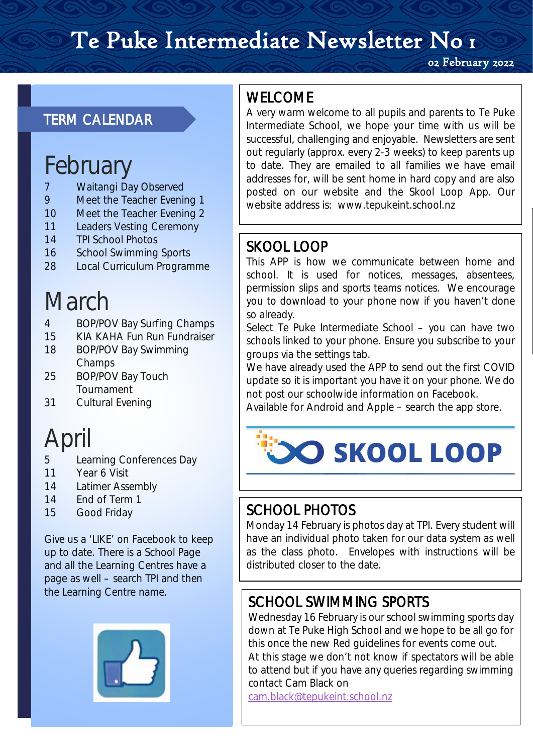# Te Puke Intermediate Newsletter No 1

02 February 2022

### TERM CALENDAR

## February

- 7 Waitangi Day Observed
- 9 Meet the Teacher Evening 1
- 10 Meet the Teacher Evening 2
- 11 Leaders Vesting Ceremony
- 14 TPI School Photos
- 16 School Swimming Sports
- 28 Local Curriculum Programme

# March

- 4 BOP/POV Bay Surfing Champs
- 15 KIA KAHA Fun Run Fundraiser
- 18 BOP/POV Bay Swimming **Champs**
- 25 BOP/POV Bay Touch Tournament
- 31 Cultural Evening

# April

- 5 Learning Conferences Day
- 11 Year 6 Visit
- 14 Latimer Assembly
- 14 End of Term 1
- 15 Good Friday

Give us a 'LIKE' on Facebook to keep up to date. There is a School Page and all the Learning Centres have a page as well – search TPI and then the Learning Centre name.



WELCOME<br>A very warm welcome to all pupils and parents to Te Puke Intermediate School, we hope your time with us will be successful, challenging and enjoyable. Newsletters are sent out regularly (approx. every 2-3 weeks) to keep parents up to date. They are emailed to all families we have email addresses for, will be sent home in hard copy and are also posted on our website and the Skool Loop App. Our website address is: www.tepukeint.school.nz

**SKOOL LOOP**<br>This APP is how we communicate between home and school. It is used for notices, messages, absentees, permission slips and sports teams notices. We encourage you to download to your phone now if you haven't done so already.

Select Te Puke Intermediate School – you can have two schools linked to your phone. Ensure you subscribe to your groups via the settings tab.

We have already used the APP to send out the first COVID update so it is important you have it on your phone. We do not post our schoolwide information on Facebook.

Available for Android and Apple – search the app store.



SCHOOL PHOTOS<br>Monday 14 February is photos day at TPI. Every student will have an individual photo taken for our data system as well as the class photo. Envelopes with instructions will be distributed closer to the date.

SCHOOL SWIMMING SPORTS<br>Wednesday 16 February is our school swimming sports day down at Te Puke High School and we hope to be all go for this once the new Red guidelines for events come out. At this stage we don't not know if spectators will be able to attend but if you have any queries regarding swimming contact Cam Black on

[cam.black@tepukeint.school.nz](mailto:cam.black@tepukeint.school.nz)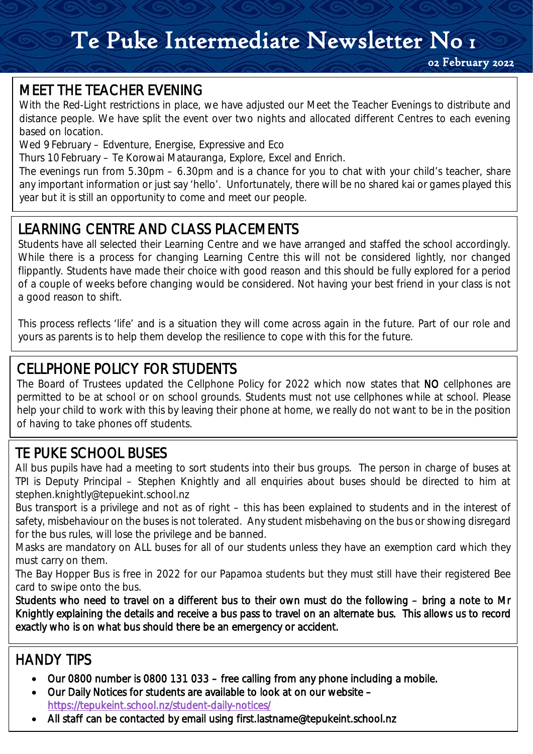## Te Puke Intermediate Newsletter No 1

MEET THE TEACHER EVENING<br>With the Red-Light restrictions in place, we have adjusted our Meet the Teacher Evenings to distribute and distance people. We have split the event over two nights and allocated different Centres to each evening based on location.

Wed 9 February – Edventure, Energise, Expressive and Eco

Thurs 10 February – Te Korowai Matauranga, Explore, Excel and Enrich.

The evenings run from 5.30pm – 6.30pm and is a chance for you to chat with your child's teacher, share any important information or just say 'hello'. Unfortunately, there will be no shared kai or games played this year but it is still an opportunity to come and meet our people.

### LEARNING CENTRE AND CLASS PLACEMENTS

LEARNING CENTRE AND CLASS PLACEMENTS<br>Students have all selected their Learning Centre and we have arranged and staffed the school accordingly. While there is a process for changing Learning Centre this will not be considered lightly, nor changed flippantly. Students have made their choice with good reason and this should be fully explored for a period of a couple of weeks before changing would be considered. Not having your best friend in your class is not a good reason to shift.

This process reflects 'life' and is a situation they will come across again in the future. Part of our role and yours as parents is to help them develop the resilience to cope with this for the future.

CELLPHONE POLICY FOR STUDENTS<br>The Board of Trustees updated the Cellphone Policy for 2022 which now states that NO cellphones are permitted to be at school or on school grounds. Students must not use cellphones while at school. Please help your child to work with this by leaving their phone at home, we really do not want to be in the position of having to take phones off students.

# $\overline{a}$

TE PUKE SCHOOL BUSES<br>All bus pupils have had a meeting to sort students into their bus groups. The person in charge of buses at TPI is Deputy Principal – Stephen Knightly and all enquiries about buses should be directed to him at stephen.knightly@tepuekint.school.nz

Bus transport is a privilege and not as of right – this has been explained to students and in the interest of safety, misbehaviour on the buses is not tolerated. Any student misbehaving on the bus or showing disregard for the bus rules, will lose the privilege and be banned.

Masks are mandatory on ALL buses for all of our students unless they have an exemption card which they must carry on them.

The Bay Hopper Bus is free in 2022 for our Papamoa students but they must still have their registered Bee card to swipe onto the bus.

Students who need to travel on a different bus to their own must do the following – bring a note to Mr Knightly explaining the details and receive a bus pass to travel on an alternate bus. This allows us to record exactly who is on what bus should there be an emergency or accident.

### HANDY TIPS

- Our 0800 number is 0800 131 033 free calling from any phone including a mobile.
- Our Daily Notices for students are available to look at on our website <https://tepukeint.school.nz/student-daily-notices/>
- All staff can be contacted by email using first.lastname@tepukeint.school.nz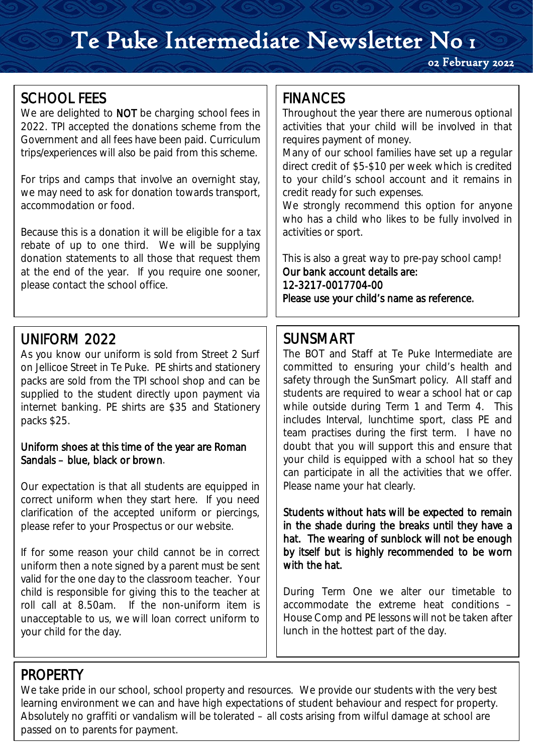## Te Puke Intermediate Newsletter No 1

02 February 2022

**SCHOOL FEES**<br>We are delighted to NOT be charging school fees in 2022. TPI accepted the donations scheme from the Government and all fees have been paid. Curriculum trips/experiences will also be paid from this scheme.

For trips and camps that involve an overnight stay, we may need to ask for donation towards transport, accommodation or food.

Because this is a donation it will be eligible for a tax rebate of up to one third. We will be supplying donation statements to all those that request them at the end of the year. If you require one sooner, please contact the school office.

**UNIFORM 2022**<br>As you know our uniform is sold from Street 2 Surf on Jellicoe Street in Te Puke. PE shirts and stationery packs are sold from the TPI school shop and can be supplied to the student directly upon payment via internet banking. PE shirts are \$35 and Stationery packs \$25.

### Uniform shoes at this time of the year are Roman Sandals – blue, black or brown.

Our expectation is that all students are equipped in correct uniform when they start here. If you need clarification of the accepted uniform or piercings, please refer to your Prospectus or our website.

If for some reason your child cannot be in correct uniform then a note signed by a parent must be sent valid for the one day to the classroom teacher. Your child is responsible for giving this to the teacher at roll call at 8.50am. If the non-uniform item is unacceptable to us, we will loan correct uniform to your child for the day.

**FINANCES**<br>Throughout the year there are numerous optional activities that your child will be involved in that requires payment of money.

Many of our school families have set up a regular direct credit of \$5-\$10 per week which is credited to your child's school account and it remains in credit ready for such expenses.

We strongly recommend this option for anyone who has a child who likes to be fully involved in activities or sport.

This is also a great way to pre-pay school camp! Our bank account details are: 12-3217-0017704-00 Please use your child's name as reference.

**SUNSMART**<br>The BOT and Staff at Te Puke Intermediate are committed to ensuring your child's health and safety through the SunSmart policy. All staff and students are required to wear a school hat or cap while outside during Term 1 and Term 4. This includes Interval, lunchtime sport, class PE and team practises during the first term. I have no doubt that you will support this and ensure that your child is equipped with a school hat so they can participate in all the activities that we offer. Please name your hat clearly.

Students without hats will be expected to remain in the shade during the breaks until they have a hat. The wearing of sunblock will not be enough by itself but is highly recommended to be worn with the hat.

During Term One we alter our timetable to accommodate the extreme heat conditions – House Comp and PE lessons will not be taken after lunch in the hottest part of the day.

PROPERTY<br>We take pride in our school, school property and resources. We provide our students with the very best Absolutely no graffiti or vandalism will be tolerated – all costs arising from wilful damage at school are learning environment we can and have high expectations of student behaviour and respect for property. passed on to parents for payment.